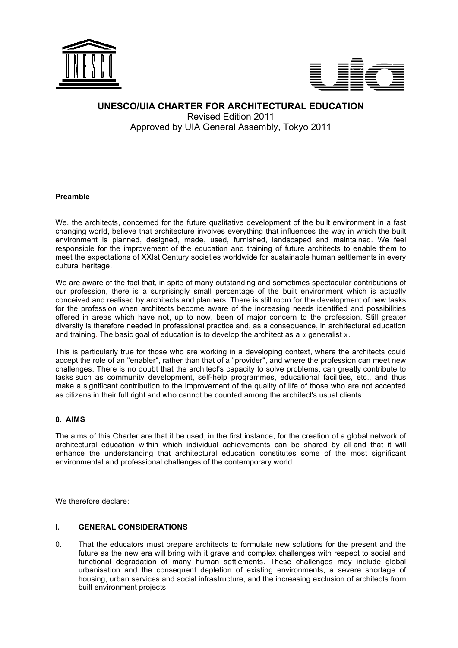



# **UNESCO/UIA CHARTER FOR ARCHITECTURAL EDUCATION** Revised Edition 2011 Approved by UIA General Assembly, Tokyo 2011

## **Preamble**

We, the architects, concerned for the future qualitative development of the built environment in a fast changing world, believe that architecture involves everything that influences the way in which the built environment is planned, designed, made, used, furnished, landscaped and maintained. We feel responsible for the improvement of the education and training of future architects to enable them to meet the expectations of XXIst Century societies worldwide for sustainable human settlements in every cultural heritage.

We are aware of the fact that, in spite of many outstanding and sometimes spectacular contributions of our profession, there is a surprisingly small percentage of the built environment which is actually conceived and realised by architects and planners. There is still room for the development of new tasks for the profession when architects become aware of the increasing needs identified and possibilities offered in areas which have not, up to now, been of major concern to the profession. Still greater diversity is therefore needed in professional practice and, as a consequence, in architectural education and training. The basic goal of education is to develop the architect as a « generalist ».

This is particularly true for those who are working in a developing context, where the architects could accept the role of an "enabler", rather than that of a "provider", and where the profession can meet new challenges. There is no doubt that the architect's capacity to solve problems, can greatly contribute to tasks such as community development, self-help programmes, educational facilities, etc., and thus make a significant contribution to the improvement of the quality of life of those who are not accepted as citizens in their full right and who cannot be counted among the architect's usual clients.

# **0. AIMS**

The aims of this Charter are that it be used, in the first instance, for the creation of a global network of architectural education within which individual achievements can be shared by all and that it will enhance the understanding that architectural education constitutes some of the most significant environmental and professional challenges of the contemporary world.

We therefore declare:

# **I. GENERAL CONSIDERATIONS**

0. That the educators must prepare architects to formulate new solutions for the present and the future as the new era will bring with it grave and complex challenges with respect to social and functional degradation of many human settlements. These challenges may include global urbanisation and the consequent depletion of existing environments, a severe shortage of housing, urban services and social infrastructure, and the increasing exclusion of architects from built environment projects.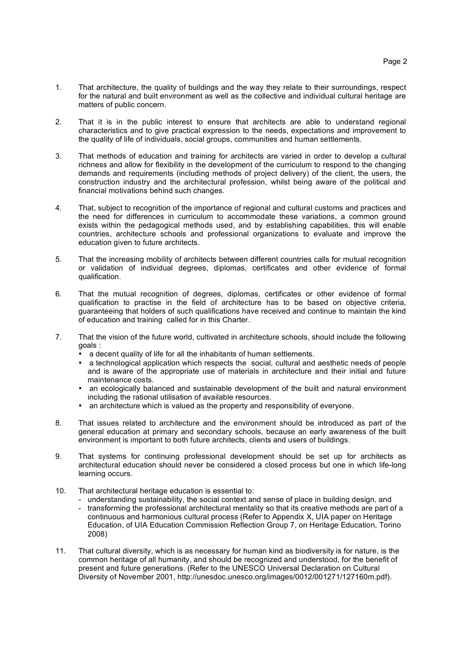- 1. That architecture, the quality of buildings and the way they relate to their surroundings, respect for the natural and built environment as well as the collective and individual cultural heritage are matters of public concern.
- 2. That it is in the public interest to ensure that architects are able to understand regional characteristics and to give practical expression to the needs, expectations and improvement to the quality of life of individuals, social groups, communities and human settlements.
- 3. That methods of education and training for architects are varied in order to develop a cultural richness and allow for flexibility in the development of the curriculum to respond to the changing demands and requirements (including methods of project delivery) of the client, the users, the construction industry and the architectural profession, whilst being aware of the political and financial motivations behind such changes.
- 4. That, subject to recognition of the importance of regional and cultural customs and practices and the need for differences in curriculum to accommodate these variations, a common ground exists within the pedagogical methods used, and by establishing capabilities, this will enable countries, architecture schools and professional organizations to evaluate and improve the education given to future architects.
- 5. That the increasing mobility of architects between different countries calls for mutual recognition or validation of individual degrees, diplomas, certificates and other evidence of formal qualification.
- 6. That the mutual recognition of degrees, diplomas, certificates or other evidence of formal qualification to practise in the field of architecture has to be based on objective criteria, guaranteeing that holders of such qualifications have received and continue to maintain the kind of education and training called for in this Charter.
- 7. That the vision of the future world, cultivated in architecture schools, should include the following goals :
	- a decent quality of life for all the inhabitants of human settlements.<br>• a technological application which respects the social cultural and
	- a technological application which respects the social, cultural and aesthetic needs of people and is aware of the appropriate use of materials in architecture and their initial and future maintenance costs.
	- an ecologically balanced and sustainable development of the built and natural environment including the rational utilisation of available resources.
	- an architecture which is valued as the property and responsibility of everyone.
- 8. That issues related to architecture and the environment should be introduced as part of the general education at primary and secondary schools, because an early awareness of the built environment is important to both future architects, clients and users of buildings.
- 9. That systems for continuing professional development should be set up for architects as architectural education should never be considered a closed process but one in which life-long learning occurs.
- 10. That architectural heritage education is essential to:
	- understanding sustainability, the social context and sense of place in building design, and
	- transforming the professional architectural mentality so that its creative methods are part of a continuous and harmonious cultural process (Refer to Appendix X, UIA paper on Heritage Education, of UIA Education Commission Reflection Group 7, on Heritage Education, Torino 2008)
- 11. That cultural diversity, which is as necessary for human kind as biodiversity is for nature, is the common heritage of all humanity, and should be recognized and understood, for the benefit of present and future generations. (Refer to the UNESCO Universal Declaration on Cultural Diversity of November 2001, http://unesdoc.unesco.org/images/0012/001271/127160m.pdf).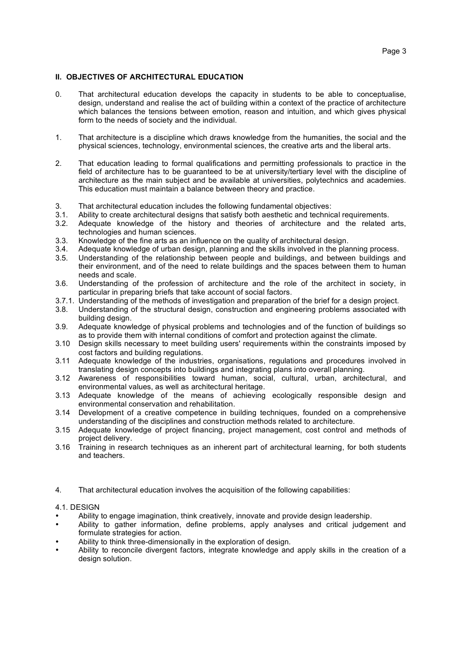# **II. OBJECTIVES OF ARCHITECTURAL EDUCATION**

- 0. That architectural education develops the capacity in students to be able to conceptualise, design, understand and realise the act of building within a context of the practice of architecture which balances the tensions between emotion, reason and intuition, and which gives physical form to the needs of society and the individual.
- 1. That architecture is a discipline which draws knowledge from the humanities, the social and the physical sciences, technology, environmental sciences, the creative arts and the liberal arts.
- 2. That education leading to formal qualifications and permitting professionals to practice in the field of architecture has to be guaranteed to be at university/tertiary level with the discipline of architecture as the main subject and be available at universities, polytechnics and academies. This education must maintain a balance between theory and practice.
- 3. That architectural education includes the following fundamental objectives:
- Ability to create architectural designs that satisfy both aesthetic and technical requirements.
- 3.2. Adequate knowledge of the history and theories of architecture and the related arts, technologies and human sciences.
- 3.3. Knowledge of the fine arts as an influence on the quality of architectural design.
- Adequate knowledge of urban design, planning and the skills involved in the planning process.
- 3.5. Understanding of the relationship between people and buildings, and between buildings and their environment, and of the need to relate buildings and the spaces between them to human needs and scale.
- 3.6. Understanding of the profession of architecture and the role of the architect in society, in particular in preparing briefs that take account of social factors.
- 3.7.1. Understanding of the methods of investigation and preparation of the brief for a design project.
- 3.8. Understanding of the structural design, construction and engineering problems associated with building design.
- 3.9. Adequate knowledge of physical problems and technologies and of the function of buildings so as to provide them with internal conditions of comfort and protection against the climate.
- 3.10 Design skills necessary to meet building users' requirements within the constraints imposed by cost factors and building regulations.
- 3.11 Adequate knowledge of the industries, organisations, regulations and procedures involved in translating design concepts into buildings and integrating plans into overall planning.
- 3.12 Awareness of responsibilities toward human, social, cultural, urban, architectural, and environmental values, as well as architectural heritage.
- 3.13 Adequate knowledge of the means of achieving ecologically responsible design and environmental conservation and rehabilitation.
- 3.14 Development of a creative competence in building techniques, founded on a comprehensive understanding of the disciplines and construction methods related to architecture.
- 3.15 Adequate knowledge of project financing, project management, cost control and methods of project delivery.
- 3.16 Training in research techniques as an inherent part of architectural learning, for both students and teachers.
- 4*.* That architectural education involves the acquisition of the following capabilities:

#### 4.1. DESIGN

- Ability to engage imagination, think creatively, innovate and provide design leadership.
- Ability to gather information, define problems, apply analyses and critical judgement and formulate strategies for action.
- Ability to think three-dimensionally in the exploration of design.
- Ability to reconcile divergent factors, integrate knowledge and apply skills in the creation of a design solution.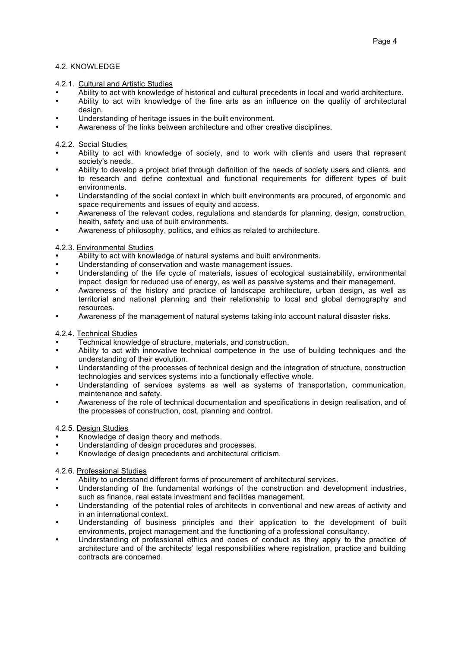# 4.2. KNOWLEDGE

## 4.2.1. Cultural and Artistic Studies

- Ability to act with knowledge of historical and cultural precedents in local and world architecture.
- Ability to act with knowledge of the fine arts as an influence on the quality of architectural design.
- Understanding of heritage issues in the built environment.
- Awareness of the links between architecture and other creative disciplines.

## 4.2.2. Social Studies

- Ability to act with knowledge of society, and to work with clients and users that represent society's needs.
- Ability to develop a project brief through definition of the needs of society users and clients, and to research and define contextual and functional requirements for different types of built environments.
- Understanding of the social context in which built environments are procured, of ergonomic and space requirements and issues of equity and access.
- Awareness of the relevant codes, regulations and standards for planning, design, construction, health, safety and use of built environments.
- Awareness of philosophy, politics, and ethics as related to architecture.

## 4.2.3. Environmental Studies

- Ability to act with knowledge of natural systems and built environments.
- Understanding of conservation and waste management issues.
- Understanding of the life cycle of materials, issues of ecological sustainability, environmental impact, design for reduced use of energy, as well as passive systems and their management.
- Awareness of the history and practice of landscape architecture, urban design, as well as territorial and national planning and their relationship to local and global demography and resources.
- Awareness of the management of natural systems taking into account natural disaster risks.

#### 4.2.4. Technical Studies

- Technical knowledge of structure, materials, and construction.
- Ability to act with innovative technical competence in the use of building techniques and the understanding of their evolution.
- Understanding of the processes of technical design and the integration of structure, construction technologies and services systems into a functionally effective whole.
- Understanding of services systems as well as systems of transportation, communication, maintenance and safety.
- Awareness of the role of technical documentation and specifications in design realisation, and of the processes of construction, cost, planning and control.

# 4.2.5. Design Studies

- Knowledge of design theory and methods.
- Understanding of design procedures and processes.
- Knowledge of design precedents and architectural criticism.

#### 4.2.6. Professional Studies

- Ability to understand different forms of procurement of architectural services.
- Understanding of the fundamental workings of the construction and development industries, such as finance, real estate investment and facilities management.
- Understanding of the potential roles of architects in conventional and new areas of activity and in an international context.
- Understanding of business principles and their application to the development of built environments, project management and the functioning of a professional consultancy.
- Understanding of professional ethics and codes of conduct as they apply to the practice of architecture and of the architects' legal responsibilities where registration, practice and building contracts are concerned.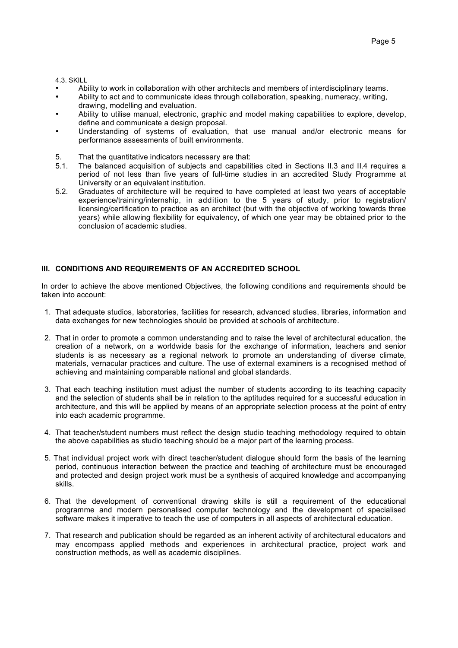4.3. SKILL

- Ability to work in collaboration with other architects and members of interdisciplinary teams.
- Ability to act and to communicate ideas through collaboration, speaking, numeracy, writing, drawing, modelling and evaluation.
- Ability to utilise manual, electronic, graphic and model making capabilities to explore, develop, define and communicate a design proposal.
- Understanding of systems of evaluation, that use manual and/or electronic means for performance assessments of built environments.
- 5. That the quantitative indicators necessary are that:
- 5.1. The balanced acquisition of subjects and capabilities cited in Sections II.3 and II.4 requires a period of not less than five years of full-time studies in an accredited Study Programme at University or an equivalent institution.
- 5.2. Graduates of architecture will be required to have completed at least two years of acceptable experience/training/internship, in addition to the 5 years of study, prior to registration/ licensing/certification to practice as an architect (but with the objective of working towards three years) while allowing flexibility for equivalency, of which one year may be obtained prior to the conclusion of academic studies.

# **III. CONDITIONS AND REQUIREMENTS OF AN ACCREDITED SCHOOL**

In order to achieve the above mentioned Objectives, the following conditions and requirements should be taken into account:

- 1. That adequate studios, laboratories, facilities for research, advanced studies, libraries, information and data exchanges for new technologies should be provided at schools of architecture.
- 2. That in order to promote a common understanding and to raise the level of architectural education, the creation of a network, on a worldwide basis for the exchange of information, teachers and senior students is as necessary as a regional network to promote an understanding of diverse climate, materials, vernacular practices and culture. The use of external examiners is a recognised method of achieving and maintaining comparable national and global standards.
- 3. That each teaching institution must adjust the number of students according to its teaching capacity and the selection of students shall be in relation to the aptitudes required for a successful education in architecture, and this will be applied by means of an appropriate selection process at the point of entry into each academic programme.
- 4. That teacher/student numbers must reflect the design studio teaching methodology required to obtain the above capabilities as studio teaching should be a major part of the learning process.
- 5. That individual project work with direct teacher/student dialogue should form the basis of the learning period, continuous interaction between the practice and teaching of architecture must be encouraged and protected and design project work must be a synthesis of acquired knowledge and accompanying skills.
- 6. That the development of conventional drawing skills is still a requirement of the educational programme and modern personalised computer technology and the development of specialised software makes it imperative to teach the use of computers in all aspects of architectural education.
- 7. That research and publication should be regarded as an inherent activity of architectural educators and may encompass applied methods and experiences in architectural practice, project work and construction methods, as well as academic disciplines.